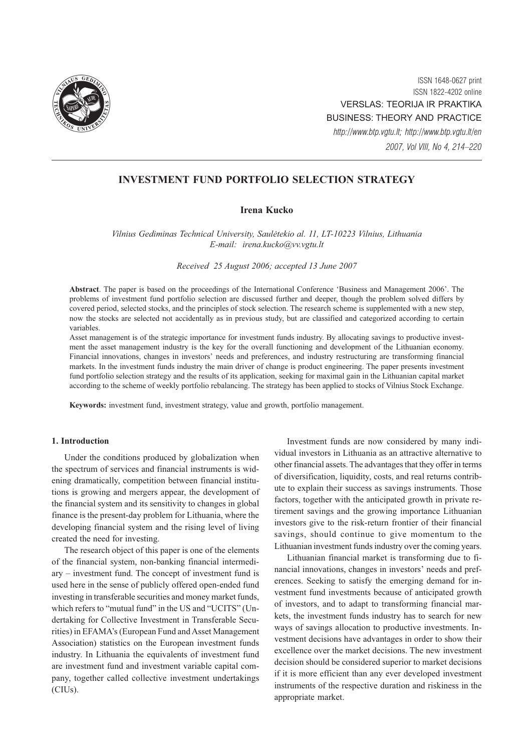

ISSN 1648-0627 print ISSN 1822-4202 online VERSLAS: TEORIJA IR PRAKTIKA BUSINESS: THEORY AND PRACTICE http://www.btp.vgtu.lt; http://www.btp.vgtu.lt/en 2007, Vol VIII, No 4, 214–220

# INVESTMENT FUND PORTFOLIO SELECTION STRATEGY

# Irena Kucko

Vilnius Gediminas Technical University, Saulëtekio al. 11, LT-10223 Vilnius, Lithuania E-mail: irena.kucko@vv.vgtu.lt

Received 25 August 2006; accepted 13 June 2007

Abstract. The paper is based on the proceedings of the International Conference 'Business and Management 2006'. The problems of investment fund portfolio selection are discussed further and deeper, though the problem solved differs by covered period, selected stocks, and the principles of stock selection. The research scheme is supplemented with a new step, now the stocks are selected not accidentally as in previous study, but are classified and categorized according to certain variables.

Asset management is of the strategic importance for investment funds industry. By allocating savings to productive investment the asset management industry is the key for the overall functioning and development of the Lithuanian economy. Financial innovations, changes in investors' needs and preferences, and industry restructuring are transforming financial markets. In the investment funds industry the main driver of change is product engineering. The paper presents investment fund portfolio selection strategy and the results of its application, seeking for maximal gain in the Lithuanian capital market according to the scheme of weekly portfolio rebalancing. The strategy has been applied to stocks of Vilnius Stock Exchange.

Keywords: investment fund, investment strategy, value and growth, portfolio management.

## 1. Introduction

Under the conditions produced by globalization when the spectrum of services and financial instruments is widening dramatically, competition between financial institutions is growing and mergers appear, the development of the financial system and its sensitivity to changes in global finance is the present-day problem for Lithuania, where the developing financial system and the rising level of living created the need for investing.

The research object of this paper is one of the elements of the financial system, non-banking financial intermediary – investment fund. The concept of investment fund is used here in the sense of publicly offered open-ended fund investing in transferable securities and money market funds, which refers to "mutual fund" in the US and "UCITS" (Undertaking for Collective Investment in Transferable Securities) in EFAMA's (European Fund and Asset Management Association) statistics on the European investment funds industry. In Lithuania the equivalents of investment fund are investment fund and investment variable capital company, together called collective investment undertakings (CIUs).

Investment funds are now considered by many individual investors in Lithuania as an attractive alternative to other financial assets. The advantages that they offer in terms of diversification, liquidity, costs, and real returns contribute to explain their success as savings instruments. Those factors, together with the anticipated growth in private retirement savings and the growing importance Lithuanian investors give to the risk-return frontier of their financial savings, should continue to give momentum to the Lithuanian investment funds industry over the coming years.

Lithuanian financial market is transforming due to financial innovations, changes in investors' needs and preferences. Seeking to satisfy the emerging demand for investment fund investments because of anticipated growth of investors, and to adapt to transforming financial markets, the investment funds industry has to search for new ways of savings allocation to productive investments. Investment decisions have advantages in order to show their excellence over the market decisions. The new investment decision should be considered superior to market decisions if it is more efficient than any ever developed investment instruments of the respective duration and riskiness in the appropriate market.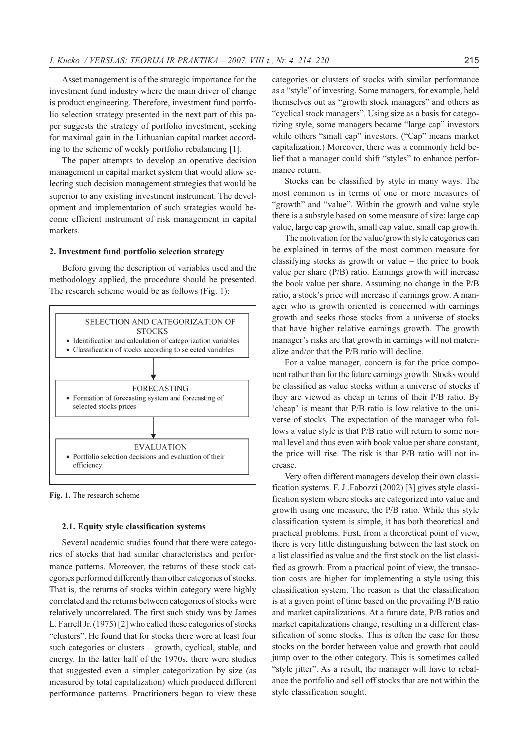Asset management is of the strategic importance for the investment fund industry where the main driver of change is product engineering. Therefore, investment fund portfolio selection strategy presented in the next part of this paper suggests the strategy of portfolio investment, seeking for maximal gain in the Lithuanian capital market according to the scheme of weekly portfolio rebalancing [1].

The paper attempts to develop an operative decision management in capital market system that would allow selecting such decision management strategies that would be superior to any existing investment instrument. The development and implementation of such strategies would become efficient instrument of risk management in capital markets.

### 2. Investment fund portfolio selection strategy

Before giving the description of variables used and the methodology applied, the procedure should be presented. The research scheme would be as follows (Fig. 1):



Fig. 1. The research scheme

### 2.1. Equity style classification systems

Several academic studies found that there were categories of stocks that had similar characteristics and performance patterns. Moreover, the returns of these stock categories performed differently than other categories of stocks. That is, the returns of stocks within category were highly correlated and the returns between categories of stocks were relatively uncorrelated. The first such study was by James L. Farrell Jr. (1975) [2] who called these categories of stocks "clusters". He found that for stocks there were at least four such categories or clusters – growth, cyclical, stable, and energy. In the latter half of the 1970s, there were studies that suggested even a simpler categorization by size (as measured by total capitalization) which produced different performance patterns. Practitioners began to view these

categories or clusters of stocks with similar performance as a "style" of investing. Some managers, for example, held themselves out as "growth stock managers" and others as "cyclical stock managers". Using size as a basis for categorizing style, some managers became "large cap" investors while others "small cap" investors. ("Cap" means market capitalization.) Moreover, there was a commonly held belief that a manager could shift "styles" to enhance performance return.

Stocks can be classified by style in many ways. The most common is in terms of one or more measures of "growth" and "value". Within the growth and value style there is a substyle based on some measure of size: large cap value, large cap growth, small cap value, small cap growth.

The motivation for the value/growth style categories can be explained in terms of the most common measure for classifying stocks as growth or value – the price to book value per share (P/B) ratio. Earnings growth will increase the book value per share. Assuming no change in the P/B ratio, a stock's price will increase if earnings grow. A manager who is growth oriented is concerned with earnings growth and seeks those stocks from a universe of stocks that have higher relative earnings growth. The growth manager's risks are that growth in earnings will not materialize and/or that the P/B ratio will decline.

For a value manager, concern is for the price component rather than for the future earnings growth. Stocks would be classified as value stocks within a universe of stocks if they are viewed as cheap in terms of their P/B ratio. By 'cheap' is meant that P/B ratio is low relative to the universe of stocks. The expectation of the manager who follows a value style is that P/B ratio will return to some normal level and thus even with book value per share constant, the price will rise. The risk is that P/B ratio will not increase.

Very often different managers develop their own classification systems. F. J .Fabozzi (2002) [3] gives style classification system where stocks are categorized into value and growth using one measure, the P/B ratio. While this style classification system is simple, it has both theoretical and practical problems. First, from a theoretical point of view, there is very little distinguishing between the last stock on a list classified as value and the first stock on the list classified as growth. From a practical point of view, the transaction costs are higher for implementing a style using this classification system. The reason is that the classification is at a given point of time based on the prevailing P/B ratio and market capitalizations. At a future date, P/B ratios and market capitalizations change, resulting in a different classification of some stocks. This is often the case for those stocks on the border between value and growth that could jump over to the other category. This is sometimes called "style jitter". As a result, the manager will have to rebalance the portfolio and sell off stocks that are not within the style classification sought.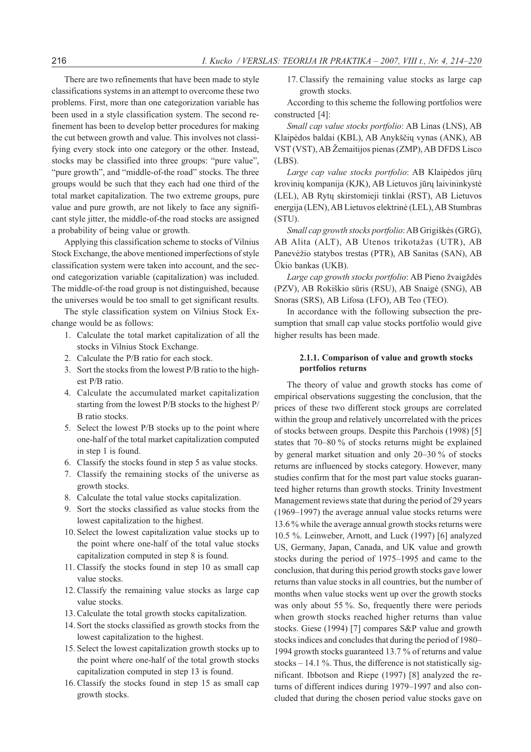There are two refinements that have been made to style classifications systems in an attempt to overcome these two problems. First, more than one categorization variable has been used in a style classification system. The second refinement has been to develop better procedures for making the cut between growth and value. This involves not classifying every stock into one category or the other. Instead, stocks may be classified into three groups: "pure value", "pure growth", and "middle-of-the road" stocks. The three groups would be such that they each had one third of the total market capitalization. The two extreme groups, pure value and pure growth, are not likely to face any significant style jitter, the middle-of-the road stocks are assigned a probability of being value or growth.

Applying this classification scheme to stocks of Vilnius Stock Exchange, the above mentioned imperfections of style classification system were taken into account, and the second categorization variable (capitalization) was included. The middle-of-the road group is not distinguished, because the universes would be too small to get significant results.

The style classification system on Vilnius Stock Exchange would be as follows:

- 1. Calculate the total market capitalization of all the stocks in Vilnius Stock Exchange.
- 2. Calculate the P/B ratio for each stock.
- 3. Sort the stocks from the lowest P/B ratio to the highest P/B ratio.
- 4. Calculate the accumulated market capitalization starting from the lowest P/B stocks to the highest P/ B ratio stocks.
- 5. Select the lowest P/B stocks up to the point where one-half of the total market capitalization computed in step 1 is found.
- 6. Classify the stocks found in step 5 as value stocks.
- 7. Classify the remaining stocks of the universe as growth stocks.
- 8. Calculate the total value stocks capitalization.
- 9. Sort the stocks classified as value stocks from the lowest capitalization to the highest.
- 10. Select the lowest capitalization value stocks up to the point where one-half of the total value stocks capitalization computed in step 8 is found.
- 11. Classify the stocks found in step 10 as small cap value stocks.
- 12. Classify the remaining value stocks as large cap value stocks.
- 13. Calculate the total growth stocks capitalization.
- 14. Sort the stocks classified as growth stocks from the lowest capitalization to the highest.
- 15. Select the lowest capitalization growth stocks up to the point where one-half of the total growth stocks capitalization computed in step 13 is found.
- 16. Classify the stocks found in step 15 as small cap growth stocks.

17. Classify the remaining value stocks as large cap growth stocks.

According to this scheme the following portfolios were constructed [4]:

Small cap value stocks portfolio: AB Linas (LNS), AB Klaipëdos baldai (KBL), AB Anykðèiø vynas (ANK), AB VST (VST), AB Žemaitijos pienas (ZMP), AB DFDS Lisco (LBS).

Large cap value stocks portfolio: AB Klaipėdos jūrų kroviniø kompanija (KJK), AB Lietuvos jûrø laivininkystë (LEL), AB Rytø skirstomieji tinklai (RST), AB Lietuvos energija (LEN), AB Lietuvos elektrinë (LEL), AB Stumbras (STU).

Small cap growth stocks portfolio: AB Grigiðkës (GRG), AB Alita (ALT), AB Utenos trikotažas (UTR), AB Panevėžio statybos trestas (PTR), AB Sanitas (SAN), AB Ûkio bankas (UKB).

Large cap growth stocks portfolio: AB Pieno žvaigždės (PZV), AB Rokiðkio sûris (RSU), AB Snaigë (SNG), AB Snoras (SRS), AB Lifosa (LFO), AB Teo (TEO).

In accordance with the following subsection the presumption that small cap value stocks portfolio would give higher results has been made.

## 2.1.1. Comparison of value and growth stocks portfolios returns

The theory of value and growth stocks has come of empirical observations suggesting the conclusion, that the prices of these two different stock groups are correlated within the group and relatively uncorrelated with the prices of stocks between groups. Despite this Parchois (1998) [5] states that 70–80 % of stocks returns might be explained by general market situation and only 20–30 % of stocks returns are influenced by stocks category. However, many studies confirm that for the most part value stocks guaranteed higher returns than growth stocks. Trinity Investment Management reviews state that during the period of 29 years (1969–1997) the average annual value stocks returns were 13.6 % while the average annual growth stocks returns were 10.5 %. Leinweber, Arnott, and Luck (1997) [6] analyzed US, Germany, Japan, Canada, and UK value and growth stocks during the period of 1975–1995 and came to the conclusion, that during this period growth stocks gave lower returns than value stocks in all countries, but the number of months when value stocks went up over the growth stocks was only about 55 %. So, frequently there were periods when growth stocks reached higher returns than value stocks. Giese (1994) [7] compares S&P value and growth stocks indices and concludes that during the period of 1980– 1994 growth stocks guaranteed 13.7 % of returns and value stocks  $-14.1$  %. Thus, the difference is not statistically significant. Ibbotson and Riepe (1997) [8] analyzed the returns of different indices during 1979–1997 and also concluded that during the chosen period value stocks gave on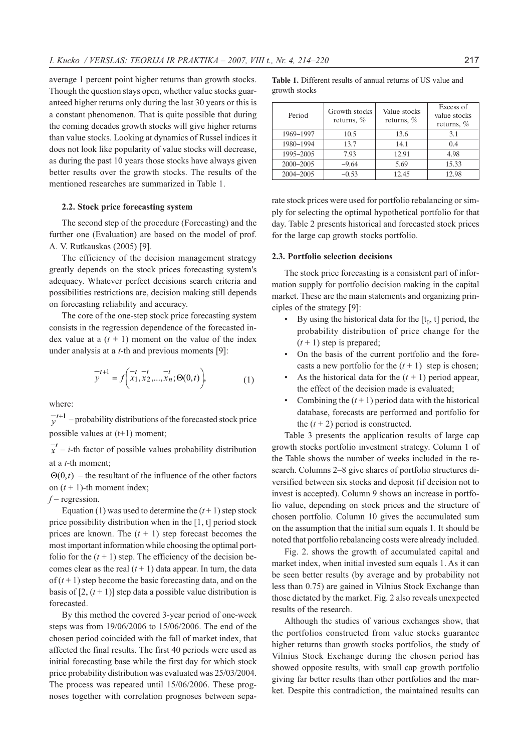average 1 percent point higher returns than growth stocks. Though the question stays open, whether value stocks guaranteed higher returns only during the last 30 years or this is a constant phenomenon. That is quite possible that during the coming decades growth stocks will give higher returns than value stocks. Looking at dynamics of Russel indices it does not look like popularity of value stocks will decrease, as during the past 10 years those stocks have always given better results over the growth stocks. The results of the mentioned researches are summarized in Table 1.

### 2.2. Stock price forecasting system

The second step of the procedure (Forecasting) and the further one (Evaluation) are based on the model of prof. A. V. Rutkauskas (2005) [9].

The efficiency of the decision management strategy greatly depends on the stock prices forecasting system's adequacy. Whatever perfect decisions search criteria and possibilities restrictions are, decision making still depends on forecasting reliability and accuracy.

The core of the one-step stock price forecasting system consists in the regression dependence of the forecasted index value at a  $(t + 1)$  moment on the value of the index under analysis at a  $t$ -th and previous moments [9]:

$$
y^{-t+1} = f\left(x_1, x_2, \dots, x_n; \Theta(0, t)\right), \tag{1}
$$

where:

 $y^{t+1}$  – probability distributions of the forecasted stock price possible values at (t+1) moment;

 $\overline{x}^{t}$  – *i*-th factor of possible values probability distribution at a t-th moment;

 $\Theta(0,t)$  – the resultant of the influence of the other factors on  $(t + 1)$ -th moment index;

 $f$  – regression.

Equation (1) was used to determine the  $(t+1)$  step stock price possibility distribution when in the [1, t] period stock prices are known. The  $(t + 1)$  step forecast becomes the most important information while choosing the optimal portfolio for the  $(t + 1)$  step. The efficiency of the decision becomes clear as the real  $(t + 1)$  data appear. In turn, the data of  $(t + 1)$  step become the basic forecasting data, and on the basis of [2,  $(t + 1)$ ] step data a possible value distribution is forecasted.

By this method the covered 3-year period of one-week steps was from 19/06/2006 to 15/06/2006. The end of the chosen period coincided with the fall of market index, that affected the final results. The first 40 periods were used as initial forecasting base while the first day for which stock price probability distribution was evaluated was 25/03/2004. The process was repeated until 15/06/2006. These prognoses together with correlation prognoses between sepaTable 1. Different results of annual returns of US value and growth stocks

| Period    | Growth stocks<br>returns, $%$ | Value stocks<br>returns, $%$ | Excess of<br>value stocks<br>returns, $%$ |  |  |
|-----------|-------------------------------|------------------------------|-------------------------------------------|--|--|
| 1969-1997 | 10.5                          | 13.6                         | 3.1                                       |  |  |
| 1980-1994 | 13.7                          | 14.1                         | 0.4                                       |  |  |
| 1995-2005 | 7.93                          | 12.91                        | 4.98                                      |  |  |
| 2000-2005 | $-9.64$                       | 5.69                         | 15.33                                     |  |  |
| 2004-2005 | $-0.53$                       | 12.45                        | 12.98                                     |  |  |

rate stock prices were used for portfolio rebalancing or simply for selecting the optimal hypothetical portfolio for that day. Table 2 presents historical and forecasted stock prices for the large cap growth stocks portfolio.

#### 2.3. Portfolio selection decisions

The stock price forecasting is a consistent part of information supply for portfolio decision making in the capital market. These are the main statements and organizing principles of the strategy [9]:

- By using the historical data for the  $[t_0, t]$  period, the probability distribution of price change for the  $(t + 1)$  step is prepared;
- On the basis of the current portfolio and the forecasts a new portfolio for the  $(t + 1)$  step is chosen;
- As the historical data for the  $(t + 1)$  period appear, the effect of the decision made is evaluated;
- Combining the  $(t + 1)$  period data with the historical database, forecasts are performed and portfolio for the  $(t + 2)$  period is constructed.

Table 3 presents the application results of large cap growth stocks portfolio investment strategy. Column 1 of the Table shows the number of weeks included in the research. Columns 2–8 give shares of portfolio structures diversified between six stocks and deposit (if decision not to invest is accepted). Column 9 shows an increase in portfolio value, depending on stock prices and the structure of chosen portfolio. Column 10 gives the accumulated sum on the assumption that the initial sum equals 1. It should be noted that portfolio rebalancing costs were already included.

Fig. 2. shows the growth of accumulated capital and market index, when initial invested sum equals 1. As it can be seen better results (by average and by probability not less than 0.75) are gained in Vilnius Stock Exchange than those dictated by the market. Fig. 2 also reveals unexpected results of the research.

Although the studies of various exchanges show, that the portfolios constructed from value stocks guarantee higher returns than growth stocks portfolios, the study of Vilnius Stock Exchange during the chosen period has showed opposite results, with small cap growth portfolio giving far better results than other portfolios and the market. Despite this contradiction, the maintained results can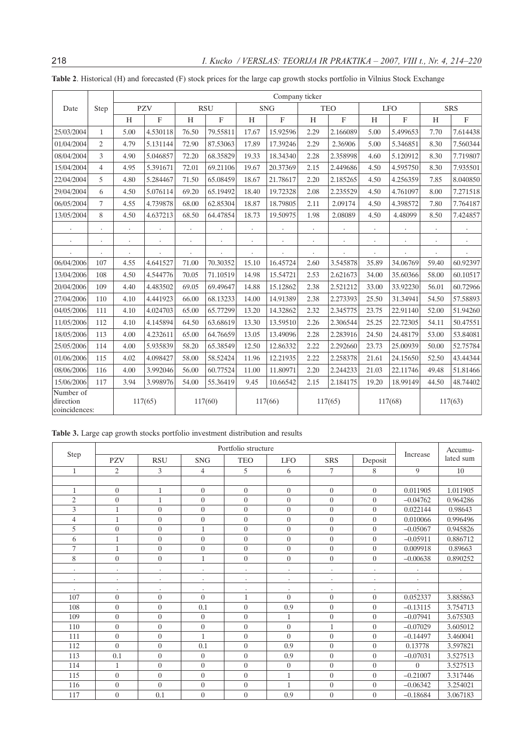|                                                    | Company ticker       |                      |                      |                      |                |            |                      |                      |            |                      |                      |            |                      |
|----------------------------------------------------|----------------------|----------------------|----------------------|----------------------|----------------|------------|----------------------|----------------------|------------|----------------------|----------------------|------------|----------------------|
| Date<br>Step                                       |                      | <b>PZV</b>           |                      | <b>RSU</b>           |                | <b>SNG</b> |                      | <b>TEO</b>           |            | <b>LFO</b>           |                      | <b>SRS</b> |                      |
|                                                    |                      | H                    | $\mathbf{F}$         | H                    | $\overline{F}$ | H          | F                    | H                    | F          | H                    | $\mathbf{F}$         | H          | $\mathbf{F}$         |
| 25/03/2004                                         | $\mathbf{1}$         | 5.00                 | 4.530118             | 76.50                | 79.55811       | 17.67      | 15.92596             | 2.29                 | 2.166089   | 5.00                 | 5.499653             | 7.70       | 7.614438             |
| 01/04/2004                                         | 2                    | 4.79                 | 5.131144             | 72.90                | 87.53063       | 17.89      | 17.39246             | 2.29                 | 2.36906    | 5.00                 | 5.346851             | 8.30       | 7.560344             |
| 08/04/2004                                         | 3                    | 4.90                 | 5.046857             | 72.20                | 68.35829       | 19.33      | 18.34340             | 2.28                 | 2.358998   | 4.60                 | 5.120912             | 8.30       | 7.719807             |
| 15/04/2004                                         | $\overline{4}$       | 4.95                 | 5.391671             | 72.01                | 69.21106       | 19.67      | 20.37369             | 2.15                 | 2.449686   | 4.50                 | 4.595750             | 8.30       | 7.935501             |
| 22/04/2004                                         | 5                    | 4.80                 | 5.284467             | 71.50                | 65.08459       | 18.67      | 21.78617             | 2.20                 | 2.185265   | 4.50                 | 4.256359             | 7.85       | 8.040850             |
| 29/04/2004                                         | 6                    | 4.50                 | 5.076114             | 69.20                | 65.19492       | 18.40      | 19.72328             | 2.08                 | 2.235529   | 4.50                 | 4.761097             | 8.00       | 7.271518             |
| 06/05/2004                                         | $\tau$               | 4.55                 | 4.739878             | 68.00                | 62.85304       | 18.87      | 18.79805             | 2.11                 | 2.09174    | 4.50                 | 4.398572             | 7.80       | 7.764187             |
| 13/05/2004                                         | 8                    | 4.50                 | 4.637213             | 68.50                | 64.47854       | 18.73      | 19.50975             | 1.98                 | 2.08089    | 4.50                 | 4.48099              | 8.50       | 7.424857             |
| $\ddot{\phantom{a}}$                               | $\ddot{\phantom{0}}$ | $\ddot{\phantom{a}}$ | $\cdot$              | $\ddot{\phantom{a}}$ | $\bullet$      | $\bullet$  | $\bullet$            | $\ddot{\phantom{0}}$ | $\epsilon$ | $\cdot$              | $\ddot{\phantom{0}}$ | $\bullet$  | $\ddot{\phantom{0}}$ |
| $\cdot$                                            | $\bullet$            |                      | $\cdot$              | ٠                    |                |            | $\bullet$            | $\bullet$            |            | $\bullet$            | $\bullet$            |            |                      |
|                                                    | $\ddot{\phantom{0}}$ |                      | $\ddot{\phantom{a}}$ | $\ddot{\phantom{0}}$ |                |            | $\ddot{\phantom{0}}$ | $\ddot{\phantom{0}}$ |            | $\ddot{\phantom{0}}$ |                      |            |                      |
| 06/04/2006                                         | 107                  | 4.55                 | 4.641527             | 71.00                | 70.30352       | 15.10      | 16.45724             | 2.60                 | 3.545878   | 35.89                | 34.06769             | 59.40      | 60.92397             |
| 13/04/2006                                         | 108                  | 4.50                 | 4.544776             | 70.05                | 71.10519       | 14.98      | 15.54721             | 2.53                 | 2.621673   | 34.00                | 35.60366             | 58.00      | 60.10517             |
| 20/04/2006                                         | 109                  | 4.40                 | 4.483502             | 69.05                | 69.49647       | 14.88      | 15.12862             | 2.38                 | 2.521212   | 33.00                | 33.92230             | 56.01      | 60.72966             |
| 27/04/2006                                         | 110                  | 4.10                 | 4.441923             | 66.00                | 68.13233       | 14.00      | 14.91389             | 2.38                 | 2.273393   | 25.50                | 31.34941             | 54.50      | 57.58893             |
| 04/05/2006                                         | 111                  | 4.10                 | 4.024703             | 65.00                | 65.77299       | 13.20      | 14.32862             | 2.32                 | 2.345775   | 23.75                | 22.91140             | 52.00      | 51.94260             |
| 11/05/2006                                         | 112                  | 4.10                 | 4.145894             | 64.50                | 63.68619       | 13.30      | 13.59510             | 2.26                 | 2.306544   | 25.25                | 22.72305             | 54.11      | 50.47551             |
| 18/05/2006                                         | 113                  | 4.00                 | 4.232611             | 65.00                | 64.76659       | 13.05      | 13.49096             | 2.28                 | 2.283916   | 24.50                | 24.48179             | 53.00      | 53.84081             |
| 25/05/2006                                         | 114                  | 4.00                 | 5.935839             | 58.20                | 65.38549       | 12.50      | 12.86332             | 2.22                 | 2.292660   | 23.73                | 25.00939             | 50.00      | 52.75784             |
| 01/06/2006                                         | 115                  | 4.02                 | 4.098427             | 58.00                | 58.52424       | 11.96      | 12.21935             | 2.22                 | 2.258378   | 21.61                | 24.15650             | 52.50      | 43.44344             |
| 08/06/2006                                         | 116                  | 4.00                 | 3.992046             | 56.00                | 60.77524       | 11.00      | 11.80971             | 2.20                 | 2.244233   | 21.03                | 22.11746             | 49.48      | 51.81466             |
| 15/06/2006                                         | 117                  | 3.94                 | 3.998976             | 54.00                | 55.36419       | 9.45       | 10.66542             | 2.15                 | 2.184175   | 19.20                | 18.99149             | 44.50      | 48.74402             |
| Number of<br>direction<br>117(65)<br>coincidences: |                      |                      | 117(60)              |                      | 117(66)        |            | 117(65)              |                      | 117(68)    |                      | 117(63)              |            |                      |

Table 2. Historical (H) and forecasted (F) stock prices for the large cap growth stocks portfolio in Vilnius Stock Exchange

| Table 3. Large cap growth stocks portfolio investment distribution and results |  |  |
|--------------------------------------------------------------------------------|--|--|
|--------------------------------------------------------------------------------|--|--|

|                | Portfolio structure |                |                  |                |                |                |                  |                | Accumu-   |
|----------------|---------------------|----------------|------------------|----------------|----------------|----------------|------------------|----------------|-----------|
| Step           | <b>PZV</b>          | <b>RSU</b>     | <b>SNG</b>       | <b>TEO</b>     | <b>LFO</b>     | <b>SRS</b>     | Deposit          | Increase       | lated sum |
| $\mathbf{1}$   | $\overline{2}$      | 3              | $\overline{4}$   | 5              | 6              | $\overline{7}$ | 8                | 9              | 10        |
|                |                     |                |                  |                |                |                |                  |                |           |
| $\mathbf{1}$   | $\overline{0}$      | $\mathbf{1}$   | $\overline{0}$   | $\overline{0}$ | $\overline{0}$ | $\mathbf{0}$   | $\overline{0}$   | 0.011905       | 1.011905  |
| $\overline{2}$ | $\overline{0}$      | $\mathbf{1}$   | $\overline{0}$   | $\overline{0}$ | $\theta$       | $\overline{0}$ | $\overline{0}$   | $-0.04762$     | 0.964286  |
| 3              | $\mathbf{1}$        | $\overline{0}$ | $\boldsymbol{0}$ | $\overline{0}$ | $\overline{0}$ | $\overline{0}$ | $\overline{0}$   | 0.022144       | 0.98643   |
| $\overline{4}$ | $\mathbf{1}$        | $\overline{0}$ | $\overline{0}$   | $\overline{0}$ | $\overline{0}$ | $\overline{0}$ | $\overline{0}$   | 0.010066       | 0.996496  |
| 5              | $\theta$            | $\mathbf{0}$   | $\mathbf{1}$     | $\overline{0}$ | $\Omega$       | $\mathbf{0}$   | $\overline{0}$   | $-0.05067$     | 0.945826  |
| 6              | 1                   | $\mathbf{0}$   | $\boldsymbol{0}$ | $\overline{0}$ | $\overline{0}$ | $\mathbf{0}$   | $\overline{0}$   | $-0.05911$     | 0.886712  |
| $\overline{7}$ | $\mathbf{1}$        | $\overline{0}$ | $\overline{0}$   | $\overline{0}$ | $\overline{0}$ | $\overline{0}$ | $\overline{0}$   | 0.009918       | 0.89663   |
| 8              | $\theta$            | $\overline{0}$ | $\mathbf{1}$     | $\theta$       | $\overline{0}$ | $\overline{0}$ | $\overline{0}$   | $-0.00638$     | 0.890252  |
| $\bullet$      | $\cdot$             | $\cdot$        | $\cdot$          | $\cdot$        | $\cdot$        | $\cdot$        | $\cdot$          | $\blacksquare$ | $\cdot$   |
| $\bullet$      | $\cdot$             | $\bullet$      | $\bullet$        | $\bullet$      | $\cdot$        | $\cdot$        | $\bullet$        | $\bullet$      | $\cdot$   |
|                | ٠                   | $\cdot$        | $\bullet$        | $\cdot$        | ٠              |                |                  |                |           |
| 107            | $\Omega$            | $\overline{0}$ | $\overline{0}$   | $\mathbf{1}$   | $\Omega$       | $\overline{0}$ | $\overline{0}$   | 0.052337       | 3.885863  |
| 108            | $\overline{0}$      | $\overline{0}$ | 0.1              | $\overline{0}$ | 0.9            | $\mathbf{0}$   | $\overline{0}$   | $-0.13115$     | 3.754713  |
| 109            | $\Omega$            | $\theta$       | $\overline{0}$   | $\theta$       | 1              | $\overline{0}$ | $\theta$         | $-0.07941$     | 3.675303  |
| 110            | $\theta$            | $\overline{0}$ | $\overline{0}$   | $\overline{0}$ | $\overline{0}$ | $\mathbf{1}$   | $\overline{0}$   | $-0.07029$     | 3.605012  |
| 111            | $\overline{0}$      | $\mathbf{0}$   | $\mathbf{1}$     | $\overline{0}$ | $\Omega$       | $\mathbf{0}$   | $\overline{0}$   | $-0.14497$     | 3.460041  |
| 112            | $\theta$            | $\theta$       | 0.1              | $\theta$       | 0.9            | $\theta$       | $\overline{0}$   | 0.13778        | 3.597821  |
| 113            | 0.1                 | $\overline{0}$ | $\boldsymbol{0}$ | $\overline{0}$ | 0.9            | $\mathbf{0}$   | $\boldsymbol{0}$ | $-0.07031$     | 3.527513  |
| 114            | $\mathbf{1}$        | $\theta$       | $\overline{0}$   | $\theta$       | $\Omega$       | $\theta$       | $\theta$         | $\Omega$       | 3.527513  |
| 115            | $\theta$            | $\overline{0}$ | $\overline{0}$   | $\overline{0}$ | $\mathbf{1}$   | $\overline{0}$ | $\overline{0}$   | $-0.21007$     | 3.317446  |
| 116            | $\overline{0}$      | $\mathbf{0}$   | $\boldsymbol{0}$ | $\overline{0}$ | 1              | $\mathbf{0}$   | $\overline{0}$   | $-0.06342$     | 3.254021  |
| 117            | $\overline{0}$      | 0.1            | $\overline{0}$   | $\overline{0}$ | 0.9            | $\overline{0}$ | $\overline{0}$   | $-0.18684$     | 3.067183  |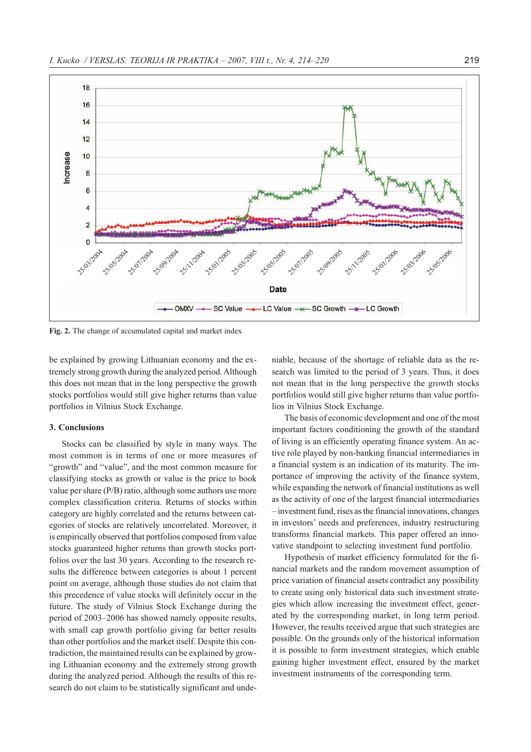

Fig. 2. The change of accumulated capital and market index

be explained by growing Lithuanian economy and the extremely strong growth during the analyzed period. Although this does not mean that in the long perspective the growth stocks portfolios would still give higher returns than value portfolios in Vilnius Stock Exchange.

### 3. Conclusions

Stocks can be classified by style in many ways. The most common is in terms of one or more measures of "growth" and "value", and the most common measure for classifying stocks as growth or value is the price to book value per share (P/B) ratio, although some authors use more complex classification criteria. Returns of stocks within category are highly correlated and the returns between categories of stocks are relatively uncorrelated. Moreover, it is empirically observed that portfolios composed from value stocks guaranteed higher returns than growth stocks portfolios over the last 30 years. According to the research results the difference between categories is about 1 percent point on average, although those studies do not claim that this precedence of value stocks will definitely occur in the future. The study of Vilnius Stock Exchange during the period of 2003–2006 has showed namely opposite results, with small cap growth portfolio giving far better results than other portfolios and the market itself. Despite this contradiction, the maintained results can be explained by growing Lithuanian economy and the extremely strong growth during the analyzed period. Although the results of this research do not claim to be statistically significant and undeniable, because of the shortage of reliable data as the research was limited to the period of 3 years. Thus, it does not mean that in the long perspective the growth stocks portfolios would still give higher returns than value portfolios in Vilnius Stock Exchange.

The basis of economic development and one of the most important factors conditioning the growth of the standard of living is an efficiently operating finance system. An active role played by non-banking financial intermediaries in a financial system is an indication of its maturity. The importance of improving the activity of the finance system, while expanding the network of financial institutions as well as the activity of one of the largest financial intermediaries – investment fund, rises as the financial innovations, changes in investors' needs and preferences, industry restructuring transforms financial markets. This paper offered an innovative standpoint to selecting investment fund portfolio.

Hypothesis of market efficiency formulated for the financial markets and the random movement assumption of price variation of financial assets contradict any possibility to create using only historical data such investment strategies which allow increasing the investment effect, generated by the corresponding market, in long term period. However, the results received argue that such strategies are possible. On the grounds only of the historical information it is possible to form investment strategies, which enable gaining higher investment effect, ensured by the market investment instruments of the corresponding term.